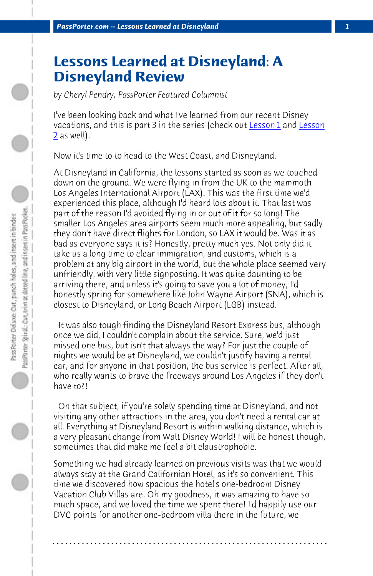*PassPorter.com -- Lessons Learned at Disneyland 1*

## **Lessons Learned at Disneyland: A Disneyland Review**

*by Cheryl Pendry, PassPorter Featured Columnist*

I've been looking back and what I've learned from our recent Disney vacations, and this is part 3 in the series (check out Lesson 1 and Lesson 2 as well).

Now it's time to to head to the West Coast, and Disneyland.

At Disneyland in California, the lessons started as soon as we touched down on the ground. We were flying in from the UK to the mammoth Los Angeles International Airport (LAX). This was the first time we'd experienced this place, although I'd heard lots about it. That last was part of the reason I'd avoided flying in or out of it for so long! The smaller Los Angeles area airports seem much more appealing, but sadly they don't have direct flights for London, so LAX it would be. Was it as bad as everyone says it is? Honestly, pretty much yes. Not only did it take us a long time to clear immigration, and customs, which is a problem at any big airport in the world, but the whole place seemed very unfriendly, with very little signposting. It was quite daunting to be arriving there, and unless it's going to save you a lot of money, I'd honestly spring for somewhere like John Wayne Airport (SNA), which is closest to Disneyland, or Long Beach Airport (LGB) instead.

 It was also tough finding the Disneyland Resort Express bus, although once we did, I couldn't complain about the service. Sure, we'd just missed one bus, but isn't that always the way? For just the couple of nights we would be at Disneyland, we couldn't justify having a rental car, and for anyone in that position, the bus service is perfect. After all, who really wants to brave the freeways around Los Angeles if they don't have to?!

 On that subject, if you're solely spending time at Disneyland, and not visiting any other attractions in the area, you don't need a rental car at all. Everything at Disneyland Resort is within walking distance, which is a very pleasant change from Walt Disney World! I will be honest though, sometimes that did make me feel a bit claustrophobic.

Something we had already learned on previous visits was that we would always stay at the Grand Californian Hotel, as it's so convenient. This time we discovered how spacious the hotel's one-bedroom Disney Vacation Club Villas are. Oh my goodness, it was amazing to have so much space, and we loved the time we spent there! I'd happily use our DVC points for another one-bedroom villa there in the future, we

**. . . . . . . . . . . . . . . . . . . . . . . . . . . . . . . . . . . . . . . . . . . . . . . . . . . . . . . . . . . . . . . . . .**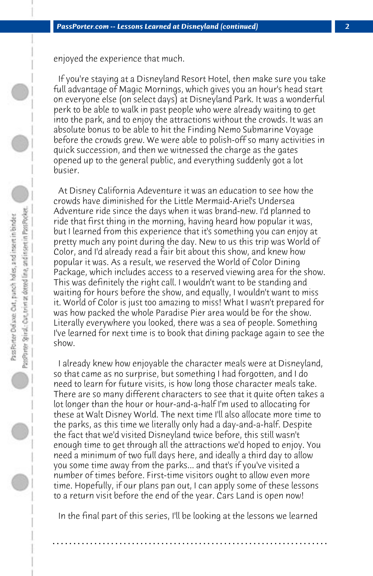enjoyed the experience that much.

 If you're staying at a Disneyland Resort Hotel, then make sure you take full advantage of Magic Mornings, which gives you an hour's head start on everyone else (on select days) at Disneyland Park. It was a wonderful perk to be able to walk in past people who were already waiting to get into the park, and to enjoy the attractions without the crowds. It was an absolute bonus to be able to hit the Finding Nemo Submarine Voyage before the crowds grew. We were able to polish-off so many activities in quick succession, and then we witnessed the charge as the gates opened up to the general public, and everything suddenly got a lot busier.

 At Disney California Adeventure it was an education to see how the crowds have diminished for the Little Mermaid-Ariel's Undersea Adventure ride since the days when it was brand-new. I'd planned to ride that first thing in the morning, having heard how popular it was, but I learned from this experience that it's something you can enjoy at pretty much any point during the day. New to us this trip was World of Color, and I'd already read a fair bit about this show, and knew how popular it was. As a result, we reserved the World of Color Dining Package, which includes access to a reserved viewing area for the show. This was definitely the right call. I wouldn't want to be standing and waiting for hours before the show, and equally, I wouldn't want to miss it. World of Color is just too amazing to miss! What I wasn't prepared for was how packed the whole Paradise Pier area would be for the show. Literally everywhere you looked, there was a sea of people. Something I've learned for next time is to book that dining package again to see the show.

 I already knew how enjoyable the character meals were at Disneyland, so that came as no surprise, but something I had forgotten, and I do need to learn for future visits, is how long those character meals take. There are so many different characters to see that it quite often takes a lot longer than the hour or hour-and-a-half I'm used to allocating for these at Walt Disney World. The next time I'll also allocate more time to the parks, as this time we literally only had a day-and-a-half. Despite the fact that we'd visited Disneyland twice before, this still wasn't enough time to get through all the attractions we'd hoped to enjoy. You need a minimum of two full days here, and ideally a third day to allow you some time away from the parks... and that's if you've visited a number of times before. First-time visitors ought to allow even more time. Hopefully, if our plans pan out, I can apply some of these lessons to a return visit before the end of the year. Cars Land is open now!

 In the final part of this series, I'll be looking at the lessons we learned

**. . . . . . . . . . . . . . . . . . . . . . . . . . . . . . . . . . . . . . . . . . . . . . . . . . . . . . . . . . . . . . . . . .**